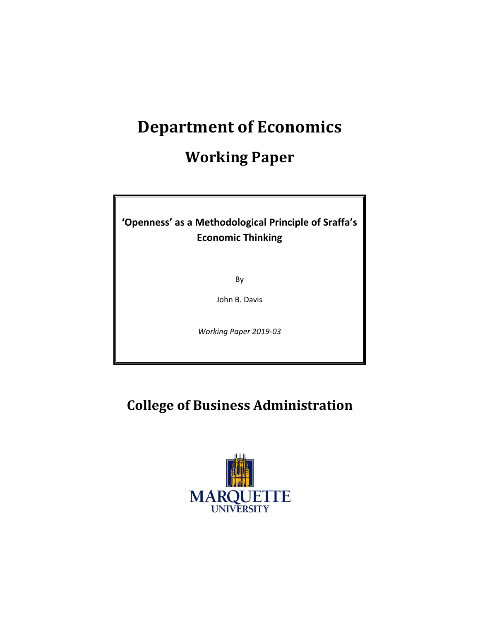# **Department of Economics**

## **Working Paper**

### **'Openness' as a Methodological Principle of Sraffa's Economic Thinking**

By

John B. Davis

*Working Paper 2019-03*

### **College of Business Administration**

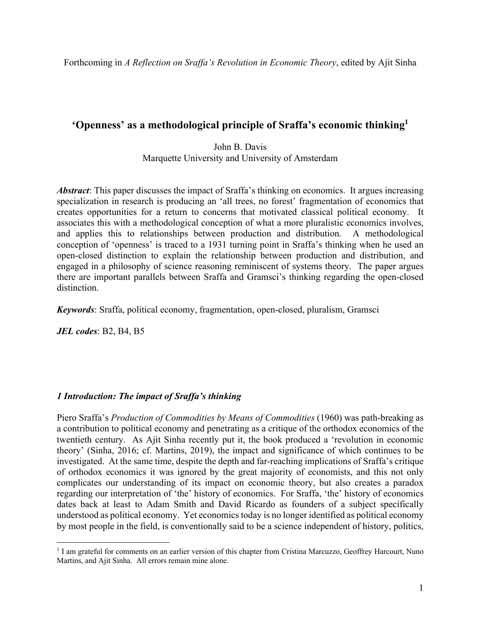#### **'Openness' as a methodological principle of Sraffa's economic thinking1**

John B. Davis Marquette University and University of Amsterdam

*Abstract*: This paper discusses the impact of Sraffa's thinking on economics. It argues increasing specialization in research is producing an 'all trees, no forest' fragmentation of economics that creates opportunities for a return to concerns that motivated classical political economy. It associates this with a methodological conception of what a more pluralistic economics involves, and applies this to relationships between production and distribution. A methodological conception of 'openness' is traced to a 1931 turning point in Sraffa's thinking when he used an open-closed distinction to explain the relationship between production and distribution, and engaged in a philosophy of science reasoning reminiscent of systems theory. The paper argues there are important parallels between Sraffa and Gramsci's thinking regarding the open-closed distinction.

*Keywords*: Sraffa, political economy, fragmentation, open-closed, pluralism, Gramsci

*JEL codes*: B2, B4, B5

#### *1 Introduction: The impact of Sraffa's thinking*

Piero Sraffa's *Production of Commodities by Means of Commodities* (1960) was path-breaking as a contribution to political economy and penetrating as a critique of the orthodox economics of the twentieth century. As Ajit Sinha recently put it, the book produced a 'revolution in economic theory' (Sinha, 2016; cf. Martins, 2019), the impact and significance of which continues to be investigated. At the same time, despite the depth and far-reaching implications of Sraffa's critique of orthodox economics it was ignored by the great majority of economists, and this not only complicates our understanding of its impact on economic theory, but also creates a paradox regarding our interpretation of 'the' history of economics. For Sraffa, 'the' history of economics dates back at least to Adam Smith and David Ricardo as founders of a subject specifically understood as political economy. Yet economics today is no longer identified as political economy by most people in the field, is conventionally said to be a science independent of history, politics,

<sup>&</sup>lt;sup>1</sup> I am grateful for comments on an earlier version of this chapter from Cristina Marcuzzo, Geoffrey Harcourt, Nuno Martins, and Ajit Sinha. All errors remain mine alone.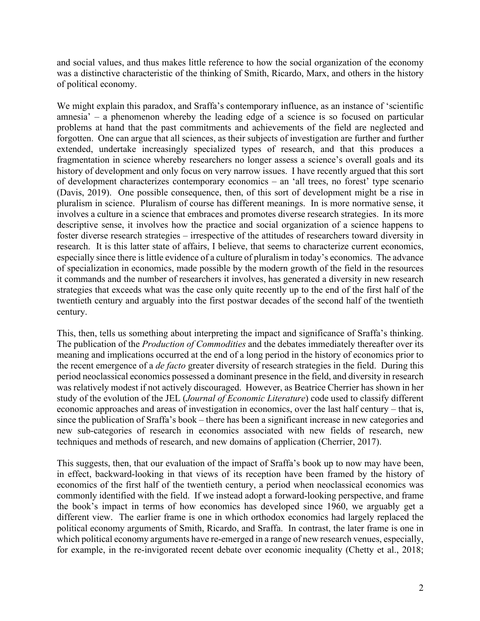and social values, and thus makes little reference to how the social organization of the economy was a distinctive characteristic of the thinking of Smith, Ricardo, Marx, and others in the history of political economy.

We might explain this paradox, and Sraffa's contemporary influence, as an instance of 'scientific amnesia' – a phenomenon whereby the leading edge of a science is so focused on particular problems at hand that the past commitments and achievements of the field are neglected and forgotten. One can argue that all sciences, as their subjects of investigation are further and further extended, undertake increasingly specialized types of research, and that this produces a fragmentation in science whereby researchers no longer assess a science's overall goals and its history of development and only focus on very narrow issues. I have recently argued that this sort of development characterizes contemporary economics – an 'all trees, no forest' type scenario (Davis, 2019). One possible consequence, then, of this sort of development might be a rise in pluralism in science. Pluralism of course has different meanings. In is more normative sense, it involves a culture in a science that embraces and promotes diverse research strategies. In its more descriptive sense, it involves how the practice and social organization of a science happens to foster diverse research strategies – irrespective of the attitudes of researchers toward diversity in research. It is this latter state of affairs, I believe, that seems to characterize current economics, especially since there is little evidence of a culture of pluralism in today's economics. The advance of specialization in economics, made possible by the modern growth of the field in the resources it commands and the number of researchers it involves, has generated a diversity in new research strategies that exceeds what was the case only quite recently up to the end of the first half of the twentieth century and arguably into the first postwar decades of the second half of the twentieth century.

This, then, tells us something about interpreting the impact and significance of Sraffa's thinking. The publication of the *Production of Commodities* and the debates immediately thereafter over its meaning and implications occurred at the end of a long period in the history of economics prior to the recent emergence of a *de facto* greater diversity of research strategies in the field. During this period neoclassical economics possessed a dominant presence in the field, and diversity in research was relatively modest if not actively discouraged. However, as Beatrice Cherrier has shown in her study of the evolution of the JEL (*Journal of Economic Literature*) code used to classify different economic approaches and areas of investigation in economics, over the last half century – that is, since the publication of Sraffa's book – there has been a significant increase in new categories and new sub-categories of research in economics associated with new fields of research, new techniques and methods of research, and new domains of application (Cherrier, 2017).

This suggests, then, that our evaluation of the impact of Sraffa's book up to now may have been, in effect, backward-looking in that views of its reception have been framed by the history of economics of the first half of the twentieth century, a period when neoclassical economics was commonly identified with the field. If we instead adopt a forward-looking perspective, and frame the book's impact in terms of how economics has developed since 1960, we arguably get a different view. The earlier frame is one in which orthodox economics had largely replaced the political economy arguments of Smith, Ricardo, and Sraffa. In contrast, the later frame is one in which political economy arguments have re-emerged in a range of new research venues, especially, for example, in the re-invigorated recent debate over economic inequality (Chetty et al., 2018;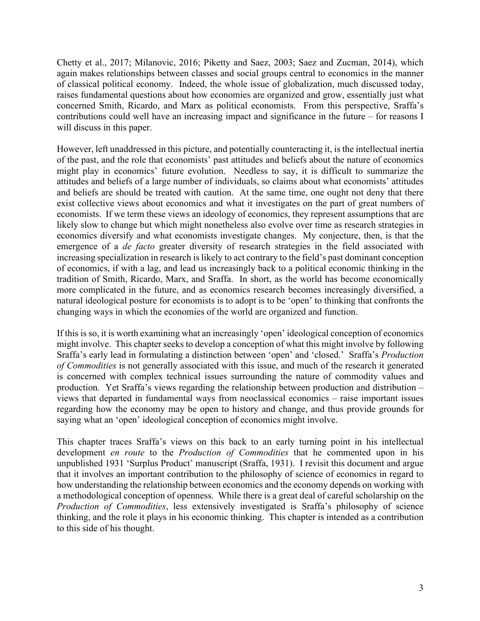Chetty et al., 2017; Milanovic, 2016; Piketty and Saez, 2003; Saez and Zucman, 2014), which again makes relationships between classes and social groups central to economics in the manner of classical political economy. Indeed, the whole issue of globalization, much discussed today, raises fundamental questions about how economies are organized and grow, essentially just what concerned Smith, Ricardo, and Marx as political economists. From this perspective, Sraffa's contributions could well have an increasing impact and significance in the future – for reasons I will discuss in this paper.

However, left unaddressed in this picture, and potentially counteracting it, is the intellectual inertia of the past, and the role that economists' past attitudes and beliefs about the nature of economics might play in economics' future evolution. Needless to say, it is difficult to summarize the attitudes and beliefs of a large number of individuals, so claims about what economists' attitudes and beliefs are should be treated with caution. At the same time, one ought not deny that there exist collective views about economics and what it investigates on the part of great numbers of economists. If we term these views an ideology of economics, they represent assumptions that are likely slow to change but which might nonetheless also evolve over time as research strategies in economics diversify and what economists investigate changes. My conjecture, then, is that the emergence of a *de facto* greater diversity of research strategies in the field associated with increasing specialization in research is likely to act contrary to the field's past dominant conception of economics, if with a lag, and lead us increasingly back to a political economic thinking in the tradition of Smith, Ricardo, Marx, and Sraffa. In short, as the world has become economically more complicated in the future, and as economics research becomes increasingly diversified, a natural ideological posture for economists is to adopt is to be 'open' to thinking that confronts the changing ways in which the economies of the world are organized and function.

If this is so, it is worth examining what an increasingly 'open' ideological conception of economics might involve. This chapter seeks to develop a conception of what this might involve by following Sraffa's early lead in formulating a distinction between 'open' and 'closed.' Sraffa's *Production of Commodities* is not generally associated with this issue, and much of the research it generated is concerned with complex technical issues surrounding the nature of commodity values and production. Yet Sraffa's views regarding the relationship between production and distribution – views that departed in fundamental ways from neoclassical economics – raise important issues regarding how the economy may be open to history and change, and thus provide grounds for saying what an 'open' ideological conception of economics might involve.

This chapter traces Sraffa's views on this back to an early turning point in his intellectual development *en route* to the *Production of Commodities* that he commented upon in his unpublished 1931 'Surplus Product' manuscript (Sraffa, 1931). I revisit this document and argue that it involves an important contribution to the philosophy of science of economics in regard to how understanding the relationship between economics and the economy depends on working with a methodological conception of openness. While there is a great deal of careful scholarship on the *Production of Commodities*, less extensively investigated is Sraffa's philosophy of science thinking, and the role it plays in his economic thinking. This chapter is intended as a contribution to this side of his thought.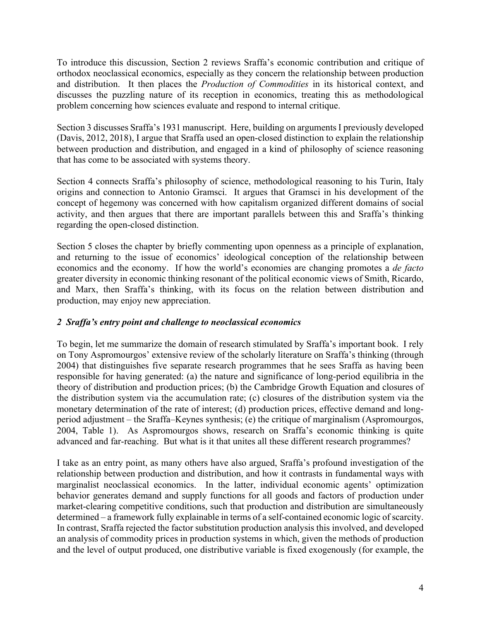To introduce this discussion, Section 2 reviews Sraffa's economic contribution and critique of orthodox neoclassical economics, especially as they concern the relationship between production and distribution. It then places the *Production of Commodities* in its historical context, and discusses the puzzling nature of its reception in economics, treating this as methodological problem concerning how sciences evaluate and respond to internal critique.

Section 3 discusses Sraffa's 1931 manuscript. Here, building on arguments I previously developed (Davis, 2012, 2018), I argue that Sraffa used an open-closed distinction to explain the relationship between production and distribution, and engaged in a kind of philosophy of science reasoning that has come to be associated with systems theory.

Section 4 connects Sraffa's philosophy of science, methodological reasoning to his Turin, Italy origins and connection to Antonio Gramsci. It argues that Gramsci in his development of the concept of hegemony was concerned with how capitalism organized different domains of social activity, and then argues that there are important parallels between this and Sraffa's thinking regarding the open-closed distinction.

Section 5 closes the chapter by briefly commenting upon openness as a principle of explanation, and returning to the issue of economics' ideological conception of the relationship between economics and the economy. If how the world's economies are changing promotes a *de facto* greater diversity in economic thinking resonant of the political economic views of Smith, Ricardo, and Marx, then Sraffa's thinking, with its focus on the relation between distribution and production, may enjoy new appreciation.

#### *2 Sraffa's entry point and challenge to neoclassical economics*

To begin, let me summarize the domain of research stimulated by Sraffa's important book. I rely on Tony Aspromourgos' extensive review of the scholarly literature on Sraffa's thinking (through 2004) that distinguishes five separate research programmes that he sees Sraffa as having been responsible for having generated: (a) the nature and significance of long-period equilibria in the theory of distribution and production prices; (b) the Cambridge Growth Equation and closures of the distribution system via the accumulation rate; (c) closures of the distribution system via the monetary determination of the rate of interest; (d) production prices, effective demand and longperiod adjustment – the Sraffa–Keynes synthesis; (e) the critique of marginalism (Aspromourgos, 2004, Table 1). As Aspromourgos shows, research on Sraffa's economic thinking is quite advanced and far-reaching. But what is it that unites all these different research programmes?

I take as an entry point, as many others have also argued, Sraffa's profound investigation of the relationship between production and distribution, and how it contrasts in fundamental ways with marginalist neoclassical economics. In the latter, individual economic agents' optimization behavior generates demand and supply functions for all goods and factors of production under market-clearing competitive conditions, such that production and distribution are simultaneously determined – a framework fully explainable in terms of a self-contained economic logic of scarcity. In contrast, Sraffa rejected the factor substitution production analysis this involved, and developed an analysis of commodity prices in production systems in which, given the methods of production and the level of output produced, one distributive variable is fixed exogenously (for example, the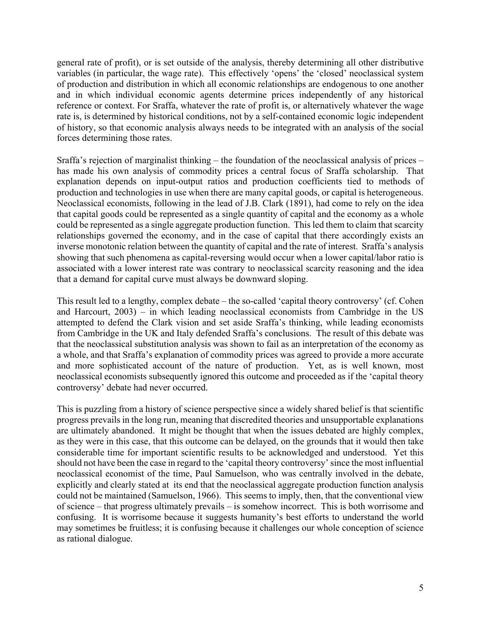general rate of profit), or is set outside of the analysis, thereby determining all other distributive variables (in particular, the wage rate). This effectively 'opens' the 'closed' neoclassical system of production and distribution in which all economic relationships are endogenous to one another and in which individual economic agents determine prices independently of any historical reference or context. For Sraffa, whatever the rate of profit is, or alternatively whatever the wage rate is, is determined by historical conditions, not by a self-contained economic logic independent of history, so that economic analysis always needs to be integrated with an analysis of the social forces determining those rates.

Sraffa's rejection of marginalist thinking – the foundation of the neoclassical analysis of prices – has made his own analysis of commodity prices a central focus of Sraffa scholarship. That explanation depends on input-output ratios and production coefficients tied to methods of production and technologies in use when there are many capital goods, or capital is heterogeneous. Neoclassical economists, following in the lead of J.B. Clark (1891), had come to rely on the idea that capital goods could be represented as a single quantity of capital and the economy as a whole could be represented as a single aggregate production function. This led them to claim that scarcity relationships governed the economy, and in the case of capital that there accordingly exists an inverse monotonic relation between the quantity of capital and the rate of interest. Sraffa's analysis showing that such phenomena as capital-reversing would occur when a lower capital/labor ratio is associated with a lower interest rate was contrary to neoclassical scarcity reasoning and the idea that a demand for capital curve must always be downward sloping.

This result led to a lengthy, complex debate – the so-called 'capital theory controversy' (cf. Cohen and Harcourt, 2003) – in which leading neoclassical economists from Cambridge in the US attempted to defend the Clark vision and set aside Sraffa's thinking, while leading economists from Cambridge in the UK and Italy defended Sraffa's conclusions. The result of this debate was that the neoclassical substitution analysis was shown to fail as an interpretation of the economy as a whole, and that Sraffa's explanation of commodity prices was agreed to provide a more accurate and more sophisticated account of the nature of production. Yet, as is well known, most neoclassical economists subsequently ignored this outcome and proceeded as if the 'capital theory controversy' debate had never occurred.

This is puzzling from a history of science perspective since a widely shared belief is that scientific progress prevails in the long run, meaning that discredited theories and unsupportable explanations are ultimately abandoned. It might be thought that when the issues debated are highly complex, as they were in this case, that this outcome can be delayed, on the grounds that it would then take considerable time for important scientific results to be acknowledged and understood. Yet this should not have been the case in regard to the 'capital theory controversy' since the most influential neoclassical economist of the time, Paul Samuelson, who was centrally involved in the debate, explicitly and clearly stated at its end that the neoclassical aggregate production function analysis could not be maintained (Samuelson, 1966). This seems to imply, then, that the conventional view of science – that progress ultimately prevails – is somehow incorrect. This is both worrisome and confusing. It is worrisome because it suggests humanity's best efforts to understand the world may sometimes be fruitless; it is confusing because it challenges our whole conception of science as rational dialogue.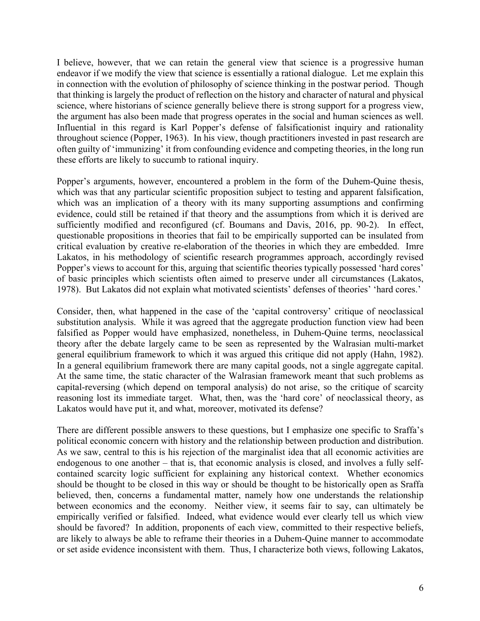I believe, however, that we can retain the general view that science is a progressive human endeavor if we modify the view that science is essentially a rational dialogue. Let me explain this in connection with the evolution of philosophy of science thinking in the postwar period. Though that thinking is largely the product of reflection on the history and character of natural and physical science, where historians of science generally believe there is strong support for a progress view, the argument has also been made that progress operates in the social and human sciences as well. Influential in this regard is Karl Popper's defense of falsificationist inquiry and rationality throughout science (Popper, 1963). In his view, though practitioners invested in past research are often guilty of 'immunizing' it from confounding evidence and competing theories, in the long run these efforts are likely to succumb to rational inquiry.

Popper's arguments, however, encountered a problem in the form of the Duhem-Quine thesis, which was that any particular scientific proposition subject to testing and apparent falsification, which was an implication of a theory with its many supporting assumptions and confirming evidence, could still be retained if that theory and the assumptions from which it is derived are sufficiently modified and reconfigured (cf. Boumans and Davis, 2016, pp. 90-2). In effect, questionable propositions in theories that fail to be empirically supported can be insulated from critical evaluation by creative re-elaboration of the theories in which they are embedded. Imre Lakatos, in his methodology of scientific research programmes approach, accordingly revised Popper's views to account for this, arguing that scientific theories typically possessed 'hard cores' of basic principles which scientists often aimed to preserve under all circumstances (Lakatos, 1978). But Lakatos did not explain what motivated scientists' defenses of theories' 'hard cores.'

Consider, then, what happened in the case of the 'capital controversy' critique of neoclassical substitution analysis. While it was agreed that the aggregate production function view had been falsified as Popper would have emphasized, nonetheless, in Duhem-Quine terms, neoclassical theory after the debate largely came to be seen as represented by the Walrasian multi-market general equilibrium framework to which it was argued this critique did not apply (Hahn, 1982). In a general equilibrium framework there are many capital goods, not a single aggregate capital. At the same time, the static character of the Walrasian framework meant that such problems as capital-reversing (which depend on temporal analysis) do not arise, so the critique of scarcity reasoning lost its immediate target. What, then, was the 'hard core' of neoclassical theory, as Lakatos would have put it, and what, moreover, motivated its defense?

There are different possible answers to these questions, but I emphasize one specific to Sraffa's political economic concern with history and the relationship between production and distribution. As we saw, central to this is his rejection of the marginalist idea that all economic activities are endogenous to one another – that is, that economic analysis is closed, and involves a fully selfcontained scarcity logic sufficient for explaining any historical context. Whether economics should be thought to be closed in this way or should be thought to be historically open as Sraffa believed, then, concerns a fundamental matter, namely how one understands the relationship between economics and the economy. Neither view, it seems fair to say, can ultimately be empirically verified or falsified. Indeed, what evidence would ever clearly tell us which view should be favored? In addition, proponents of each view, committed to their respective beliefs, are likely to always be able to reframe their theories in a Duhem-Quine manner to accommodate or set aside evidence inconsistent with them. Thus, I characterize both views, following Lakatos,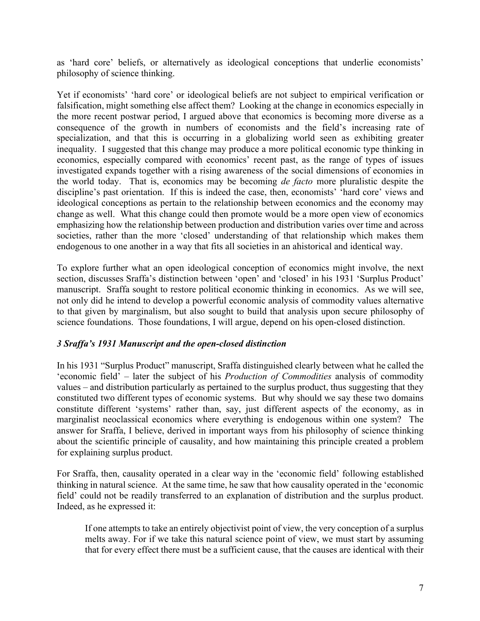as 'hard core' beliefs, or alternatively as ideological conceptions that underlie economists' philosophy of science thinking.

Yet if economists' 'hard core' or ideological beliefs are not subject to empirical verification or falsification, might something else affect them? Looking at the change in economics especially in the more recent postwar period, I argued above that economics is becoming more diverse as a consequence of the growth in numbers of economists and the field's increasing rate of specialization, and that this is occurring in a globalizing world seen as exhibiting greater inequality. I suggested that this change may produce a more political economic type thinking in economics, especially compared with economics' recent past, as the range of types of issues investigated expands together with a rising awareness of the social dimensions of economies in the world today. That is, economics may be becoming *de facto* more pluralistic despite the discipline's past orientation. If this is indeed the case, then, economists' 'hard core' views and ideological conceptions as pertain to the relationship between economics and the economy may change as well. What this change could then promote would be a more open view of economics emphasizing how the relationship between production and distribution varies over time and across societies, rather than the more 'closed' understanding of that relationship which makes them endogenous to one another in a way that fits all societies in an ahistorical and identical way.

To explore further what an open ideological conception of economics might involve, the next section, discusses Sraffa's distinction between 'open' and 'closed' in his 1931 'Surplus Product' manuscript. Sraffa sought to restore political economic thinking in economics. As we will see, not only did he intend to develop a powerful economic analysis of commodity values alternative to that given by marginalism, but also sought to build that analysis upon secure philosophy of science foundations. Those foundations, I will argue, depend on his open-closed distinction.

#### *3 Sraffa's 1931 Manuscript and the open-closed distinction*

In his 1931 "Surplus Product" manuscript, Sraffa distinguished clearly between what he called the 'economic field' – later the subject of his *Production of Commodities* analysis of commodity values – and distribution particularly as pertained to the surplus product, thus suggesting that they constituted two different types of economic systems. But why should we say these two domains constitute different 'systems' rather than, say, just different aspects of the economy, as in marginalist neoclassical economics where everything is endogenous within one system? The answer for Sraffa, I believe, derived in important ways from his philosophy of science thinking about the scientific principle of causality, and how maintaining this principle created a problem for explaining surplus product.

For Sraffa, then, causality operated in a clear way in the 'economic field' following established thinking in natural science. At the same time, he saw that how causality operated in the 'economic field' could not be readily transferred to an explanation of distribution and the surplus product. Indeed, as he expressed it:

If one attempts to take an entirely objectivist point of view, the very conception of a surplus melts away. For if we take this natural science point of view, we must start by assuming that for every effect there must be a sufficient cause, that the causes are identical with their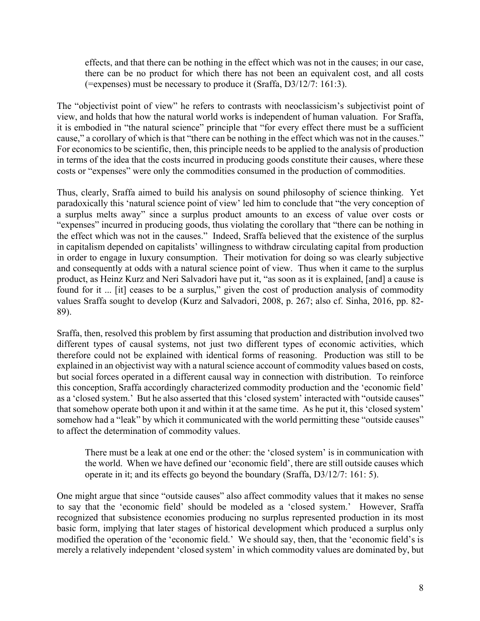effects, and that there can be nothing in the effect which was not in the causes; in our case, there can be no product for which there has not been an equivalent cost, and all costs (=expenses) must be necessary to produce it (Sraffa, D3/12/7: 161:3).

The "objectivist point of view" he refers to contrasts with neoclassicism's subjectivist point of view, and holds that how the natural world works is independent of human valuation. For Sraffa, it is embodied in "the natural science" principle that "for every effect there must be a sufficient cause," a corollary of which is that "there can be nothing in the effect which was not in the causes." For economics to be scientific, then, this principle needs to be applied to the analysis of production in terms of the idea that the costs incurred in producing goods constitute their causes, where these costs or "expenses" were only the commodities consumed in the production of commodities.

Thus, clearly, Sraffa aimed to build his analysis on sound philosophy of science thinking. Yet paradoxically this 'natural science point of view' led him to conclude that "the very conception of a surplus melts away" since a surplus product amounts to an excess of value over costs or "expenses" incurred in producing goods, thus violating the corollary that "there can be nothing in the effect which was not in the causes." Indeed, Sraffa believed that the existence of the surplus in capitalism depended on capitalists' willingness to withdraw circulating capital from production in order to engage in luxury consumption. Their motivation for doing so was clearly subjective and consequently at odds with a natural science point of view. Thus when it came to the surplus product, as Heinz Kurz and Neri Salvadori have put it, "as soon as it is explained, [and] a cause is found for it ... [it] ceases to be a surplus," given the cost of production analysis of commodity values Sraffa sought to develop (Kurz and Salvadori, 2008, p. 267; also cf. Sinha, 2016, pp. 82- 89).

Sraffa, then, resolved this problem by first assuming that production and distribution involved two different types of causal systems, not just two different types of economic activities, which therefore could not be explained with identical forms of reasoning. Production was still to be explained in an objectivist way with a natural science account of commodity values based on costs, but social forces operated in a different causal way in connection with distribution. To reinforce this conception, Sraffa accordingly characterized commodity production and the 'economic field' as a 'closed system.' But he also asserted that this 'closed system' interacted with "outside causes" that somehow operate both upon it and within it at the same time. As he put it, this 'closed system' somehow had a "leak" by which it communicated with the world permitting these "outside causes" to affect the determination of commodity values.

There must be a leak at one end or the other: the 'closed system' is in communication with the world. When we have defined our 'economic field', there are still outside causes which operate in it; and its effects go beyond the boundary (Sraffa, D3/12/7: 161: 5).

One might argue that since "outside causes" also affect commodity values that it makes no sense to say that the 'economic field' should be modeled as a 'closed system.' However, Sraffa recognized that subsistence economies producing no surplus represented production in its most basic form, implying that later stages of historical development which produced a surplus only modified the operation of the 'economic field.' We should say, then, that the 'economic field's is merely a relatively independent 'closed system' in which commodity values are dominated by, but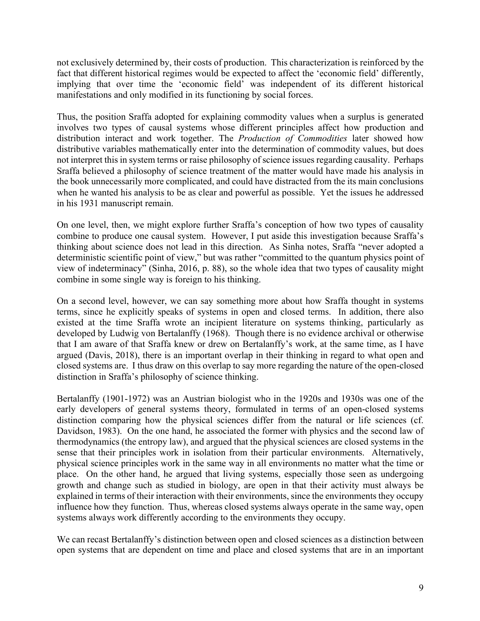not exclusively determined by, their costs of production. This characterization is reinforced by the fact that different historical regimes would be expected to affect the 'economic field' differently, implying that over time the 'economic field' was independent of its different historical manifestations and only modified in its functioning by social forces.

Thus, the position Sraffa adopted for explaining commodity values when a surplus is generated involves two types of causal systems whose different principles affect how production and distribution interact and work together. The *Production of Commodities* later showed how distributive variables mathematically enter into the determination of commodity values, but does not interpret this in system terms or raise philosophy of science issues regarding causality. Perhaps Sraffa believed a philosophy of science treatment of the matter would have made his analysis in the book unnecessarily more complicated, and could have distracted from the its main conclusions when he wanted his analysis to be as clear and powerful as possible. Yet the issues he addressed in his 1931 manuscript remain.

On one level, then, we might explore further Sraffa's conception of how two types of causality combine to produce one causal system. However, I put aside this investigation because Sraffa's thinking about science does not lead in this direction. As Sinha notes, Sraffa "never adopted a deterministic scientific point of view," but was rather "committed to the quantum physics point of view of indeterminacy" (Sinha, 2016, p. 88), so the whole idea that two types of causality might combine in some single way is foreign to his thinking.

On a second level, however, we can say something more about how Sraffa thought in systems terms, since he explicitly speaks of systems in open and closed terms. In addition, there also existed at the time Sraffa wrote an incipient literature on systems thinking, particularly as developed by Ludwig von Bertalanffy (1968). Though there is no evidence archival or otherwise that I am aware of that Sraffa knew or drew on Bertalanffy's work, at the same time, as I have argued (Davis, 2018), there is an important overlap in their thinking in regard to what open and closed systems are. I thus draw on this overlap to say more regarding the nature of the open-closed distinction in Sraffa's philosophy of science thinking.

Bertalanffy (1901-1972) was an Austrian biologist who in the 1920s and 1930s was one of the early developers of general systems theory, formulated in terms of an open-closed systems distinction comparing how the physical sciences differ from the natural or life sciences (cf. Davidson, 1983). On the one hand, he associated the former with physics and the second law of thermodynamics (the entropy law), and argued that the physical sciences are closed systems in the sense that their principles work in isolation from their particular environments. Alternatively, physical science principles work in the same way in all environments no matter what the time or place. On the other hand, he argued that living systems, especially those seen as undergoing growth and change such as studied in biology, are open in that their activity must always be explained in terms of their interaction with their environments, since the environments they occupy influence how they function. Thus, whereas closed systems always operate in the same way, open systems always work differently according to the environments they occupy.

We can recast Bertalanffy's distinction between open and closed sciences as a distinction between open systems that are dependent on time and place and closed systems that are in an important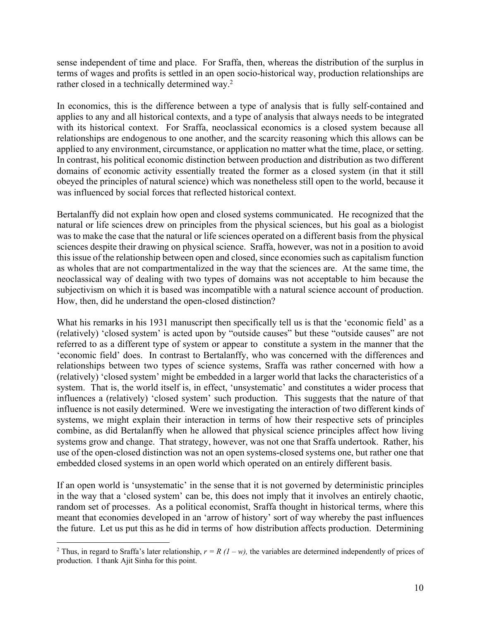sense independent of time and place. For Sraffa, then, whereas the distribution of the surplus in terms of wages and profits is settled in an open socio-historical way, production relationships are rather closed in a technically determined way.<sup>2</sup>

In economics, this is the difference between a type of analysis that is fully self-contained and applies to any and all historical contexts, and a type of analysis that always needs to be integrated with its historical context. For Sraffa, neoclassical economics is a closed system because all relationships are endogenous to one another, and the scarcity reasoning which this allows can be applied to any environment, circumstance, or application no matter what the time, place, or setting. In contrast, his political economic distinction between production and distribution as two different domains of economic activity essentially treated the former as a closed system (in that it still obeyed the principles of natural science) which was nonetheless still open to the world, because it was influenced by social forces that reflected historical context.

Bertalanffy did not explain how open and closed systems communicated. He recognized that the natural or life sciences drew on principles from the physical sciences, but his goal as a biologist was to make the case that the natural or life sciences operated on a different basis from the physical sciences despite their drawing on physical science. Sraffa, however, was not in a position to avoid this issue of the relationship between open and closed, since economies such as capitalism function as wholes that are not compartmentalized in the way that the sciences are. At the same time, the neoclassical way of dealing with two types of domains was not acceptable to him because the subjectivism on which it is based was incompatible with a natural science account of production. How, then, did he understand the open-closed distinction?

What his remarks in his 1931 manuscript then specifically tell us is that the 'economic field' as a (relatively) 'closed system' is acted upon by "outside causes" but these "outside causes" are not referred to as a different type of system or appear to constitute a system in the manner that the 'economic field' does. In contrast to Bertalanffy, who was concerned with the differences and relationships between two types of science systems, Sraffa was rather concerned with how a (relatively) 'closed system' might be embedded in a larger world that lacks the characteristics of a system. That is, the world itself is, in effect, 'unsystematic' and constitutes a wider process that influences a (relatively) 'closed system' such production. This suggests that the nature of that influence is not easily determined. Were we investigating the interaction of two different kinds of systems, we might explain their interaction in terms of how their respective sets of principles combine, as did Bertalanffy when he allowed that physical science principles affect how living systems grow and change. That strategy, however, was not one that Sraffa undertook. Rather, his use of the open-closed distinction was not an open systems-closed systems one, but rather one that embedded closed systems in an open world which operated on an entirely different basis.

If an open world is 'unsystematic' in the sense that it is not governed by deterministic principles in the way that a 'closed system' can be, this does not imply that it involves an entirely chaotic, random set of processes. As a political economist, Sraffa thought in historical terms, where this meant that economies developed in an 'arrow of history' sort of way whereby the past influences the future. Let us put this as he did in terms of how distribution affects production. Determining

<sup>&</sup>lt;sup>2</sup> Thus, in regard to Sraffa's later relationship,  $r = R (1 - w)$ , the variables are determined independently of prices of production. I thank Ajit Sinha for this point.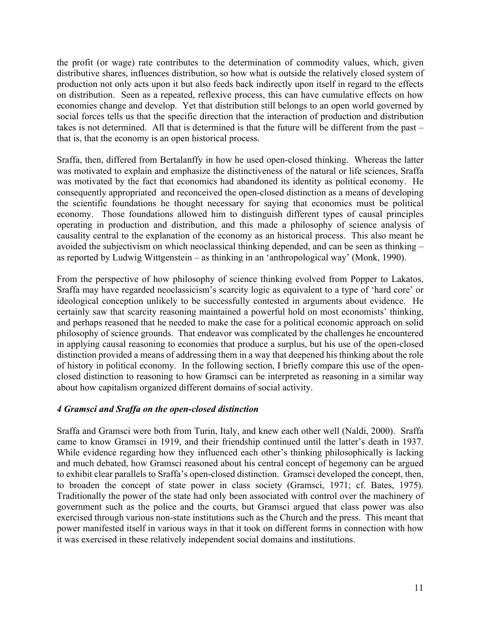the profit (or wage) rate contributes to the determination of commodity values, which, given distributive shares, influences distribution, so how what is outside the relatively closed system of production not only acts upon it but also feeds back indirectly upon itself in regard to the effects on distribution. Seen as a repeated, reflexive process, this can have cumulative effects on how economies change and develop. Yet that distribution still belongs to an open world governed by social forces tells us that the specific direction that the interaction of production and distribution takes is not determined. All that is determined is that the future will be different from the past – that is, that the economy is an open historical process.

Sraffa, then, differed from Bertalanffy in how he used open-closed thinking. Whereas the latter was motivated to explain and emphasize the distinctiveness of the natural or life sciences, Sraffa was motivated by the fact that economics had abandoned its identity as political economy. He consequently appropriated and reconceived the open-closed distinction as a means of developing the scientific foundations he thought necessary for saying that economics must be political economy. Those foundations allowed him to distinguish different types of causal principles operating in production and distribution, and this made a philosophy of science analysis of causality central to the explanation of the economy as an historical process. This also meant he avoided the subjectivism on which neoclassical thinking depended, and can be seen as thinking – as reported by Ludwig Wittgenstein – as thinking in an 'anthropological way' (Monk, 1990).

From the perspective of how philosophy of science thinking evolved from Popper to Lakatos, Sraffa may have regarded neoclassicism's scarcity logic as equivalent to a type of 'hard core' or ideological conception unlikely to be successfully contested in arguments about evidence. He certainly saw that scarcity reasoning maintained a powerful hold on most economists' thinking, and perhaps reasoned that he needed to make the case for a political economic approach on solid philosophy of science grounds. That endeavor was complicated by the challenges he encountered in applying causal reasoning to economies that produce a surplus, but his use of the open-closed distinction provided a means of addressing them in a way that deepened his thinking about the role of history in political economy. In the following section, I briefly compare this use of the openclosed distinction to reasoning to how Gramsci can be interpreted as reasoning in a similar way about how capitalism organized different domains of social activity.

#### *4 Gramsci and Sraffa on the open-closed distinction*

Sraffa and Gramsci were both from Turin, Italy, and knew each other well (Naldi, 2000). Sraffa came to know Gramsci in 1919, and their friendship continued until the latter's death in 1937. While evidence regarding how they influenced each other's thinking philosophically is lacking and much debated, how Gramsci reasoned about his central concept of hegemony can be argued to exhibit clear parallels to Sraffa's open-closed distinction. Gramsci developed the concept, then, to broaden the concept of state power in class society (Gramsci, 1971; cf. Bates, 1975). Traditionally the power of the state had only been associated with control over the machinery of government such as the police and the courts, but Gramsci argued that class power was also exercised through various non-state institutions such as the Church and the press. This meant that power manifested itself in various ways in that it took on different forms in connection with how it was exercised in these relatively independent social domains and institutions.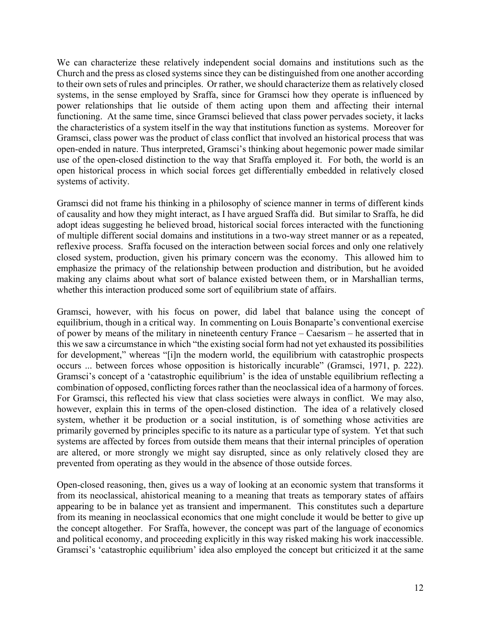We can characterize these relatively independent social domains and institutions such as the Church and the press as closed systems since they can be distinguished from one another according to their own sets of rules and principles. Or rather, we should characterize them as relatively closed systems, in the sense employed by Sraffa, since for Gramsci how they operate is influenced by power relationships that lie outside of them acting upon them and affecting their internal functioning. At the same time, since Gramsci believed that class power pervades society, it lacks the characteristics of a system itself in the way that institutions function as systems. Moreover for Gramsci, class power was the product of class conflict that involved an historical process that was open-ended in nature. Thus interpreted, Gramsci's thinking about hegemonic power made similar use of the open-closed distinction to the way that Sraffa employed it. For both, the world is an open historical process in which social forces get differentially embedded in relatively closed systems of activity.

Gramsci did not frame his thinking in a philosophy of science manner in terms of different kinds of causality and how they might interact, as I have argued Sraffa did. But similar to Sraffa, he did adopt ideas suggesting he believed broad, historical social forces interacted with the functioning of multiple different social domains and institutions in a two-way street manner or as a repeated, reflexive process. Sraffa focused on the interaction between social forces and only one relatively closed system, production, given his primary concern was the economy. This allowed him to emphasize the primacy of the relationship between production and distribution, but he avoided making any claims about what sort of balance existed between them, or in Marshallian terms, whether this interaction produced some sort of equilibrium state of affairs.

Gramsci, however, with his focus on power, did label that balance using the concept of equilibrium, though in a critical way. In commenting on Louis Bonaparte's conventional exercise of power by means of the military in nineteenth century France – Caesarism – he asserted that in this we saw a circumstance in which "the existing social form had not yet exhausted its possibilities for development," whereas "[i]n the modern world, the equilibrium with catastrophic prospects occurs ... between forces whose opposition is historically incurable" (Gramsci, 1971, p. 222). Gramsci's concept of a 'catastrophic equilibrium' is the idea of unstable equilibrium reflecting a combination of opposed, conflicting forces rather than the neoclassical idea of a harmony of forces. For Gramsci, this reflected his view that class societies were always in conflict. We may also, however, explain this in terms of the open-closed distinction. The idea of a relatively closed system, whether it be production or a social institution, is of something whose activities are primarily governed by principles specific to its nature as a particular type of system. Yet that such systems are affected by forces from outside them means that their internal principles of operation are altered, or more strongly we might say disrupted, since as only relatively closed they are prevented from operating as they would in the absence of those outside forces.

Open-closed reasoning, then, gives us a way of looking at an economic system that transforms it from its neoclassical, ahistorical meaning to a meaning that treats as temporary states of affairs appearing to be in balance yet as transient and impermanent. This constitutes such a departure from its meaning in neoclassical economics that one might conclude it would be better to give up the concept altogether. For Sraffa, however, the concept was part of the language of economics and political economy, and proceeding explicitly in this way risked making his work inaccessible. Gramsci's 'catastrophic equilibrium' idea also employed the concept but criticized it at the same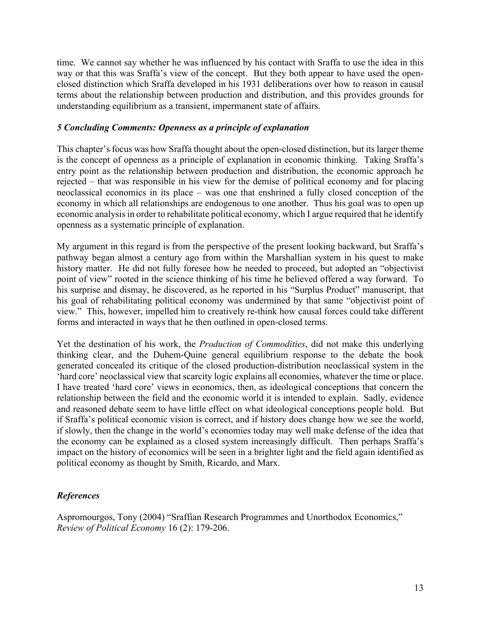time. We cannot say whether he was influenced by his contact with Sraffa to use the idea in this way or that this was Sraffa's view of the concept. But they both appear to have used the openclosed distinction which Sraffa developed in his 1931 deliberations over how to reason in causal terms about the relationship between production and distribution, and this provides grounds for understanding equilibrium as a transient, impermanent state of affairs.

#### *5 Concluding Comments: Openness as a principle of explanation*

This chapter's focus was how Sraffa thought about the open-closed distinction, but its larger theme is the concept of openness as a principle of explanation in economic thinking. Taking Sraffa's entry point as the relationship between production and distribution, the economic approach he rejected – that was responsible in his view for the demise of political economy and for placing neoclassical economics in its place – was one that enshrined a fully closed conception of the economy in which all relationships are endogenous to one another. Thus his goal was to open up economic analysis in order to rehabilitate political economy, which I argue required that he identify openness as a systematic principle of explanation.

My argument in this regard is from the perspective of the present looking backward, but Sraffa's pathway began almost a century ago from within the Marshallian system in his quest to make history matter. He did not fully foresee how he needed to proceed, but adopted an "objectivist point of view" rooted in the science thinking of his time he believed offered a way forward. To his surprise and dismay, he discovered, as he reported in his "Surplus Product" manuscript, that his goal of rehabilitating political economy was undermined by that same "objectivist point of view." This, however, impelled him to creatively re-think how causal forces could take different forms and interacted in ways that he then outlined in open-closed terms.

Yet the destination of his work, the *Production of Commodities*, did not make this underlying thinking clear, and the Duhem-Quine general equilibrium response to the debate the book generated concealed its critique of the closed production-distribution neoclassical system in the 'hard core' neoclassical view that scarcity logic explains all economies, whatever the time or place. I have treated 'hard core' views in economics, then, as ideological conceptions that concern the relationship between the field and the economic world it is intended to explain. Sadly, evidence and reasoned debate seem to have little effect on what ideological conceptions people hold. But if Sraffa's political economic vision is correct, and if history does change how we see the world, if slowly, then the change in the world's economies today may well make defense of the idea that the economy can be explained as a closed system increasingly difficult. Then perhaps Sraffa's impact on the history of economics will be seen in a brighter light and the field again identified as political economy as thought by Smith, Ricardo, and Marx.

#### *References*

Aspromourgos, Tony (2004) "Sraffian Research Programmes and Unorthodox Economics," *Review of Political Economy* 16 (2): 179-206.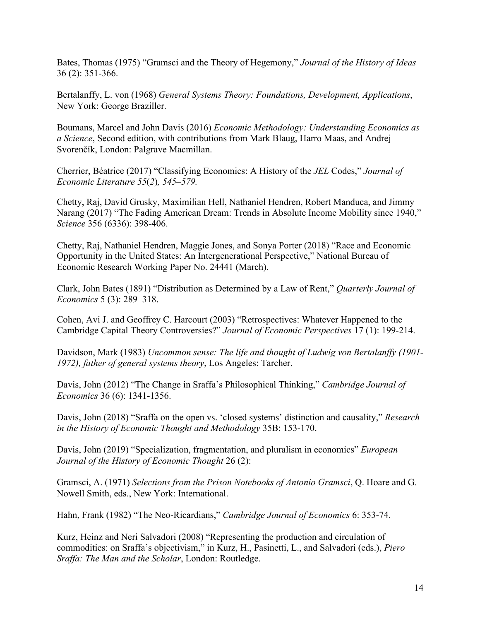Bates, Thomas (1975) "Gramsci and the Theory of Hegemony," *Journal of the History of Ideas*  36 (2): 351-366.

Bertalanffy, L. von (1968) *General Systems Theory: Foundations, Development, Applications*, New York: George Braziller.

Boumans, Marcel and John Davis (2016) *Economic Methodology: Understanding Economics as a Science*, Second edition, with contributions from Mark Blaug, Harro Maas, and Andrej Svorenčík, London: Palgrave Macmillan.

Cherrier, Béatrice (2017) "Classifying Economics: A History of the *JEL* Codes," *Journal of Economic Literature 55*(*2*)*, 545–579.*

Chetty, Raj, David Grusky, Maximilian Hell, Nathaniel Hendren, Robert Manduca, and Jimmy Narang (2017) "The Fading American Dream: Trends in Absolute Income Mobility since 1940," *Science* 356 (6336): 398-406.

Chetty, Raj, Nathaniel Hendren, Maggie Jones, and Sonya Porter (2018) "Race and Economic Opportunity in the United States: An Intergenerational Perspective," National Bureau of Economic Research Working Paper No. 24441 (March).

Clark, John Bates (1891) "Distribution as Determined by a Law of Rent," *Quarterly Journal of Economics* 5 (3): 289–318.

Cohen, Avi J. and Geoffrey C. Harcourt (2003) "Retrospectives: Whatever Happened to the Cambridge Capital Theory Controversies?" *Journal of Economic Perspectives* 17 (1): 199-214.

Davidson, Mark (1983) *Uncommon sense: The life and thought of Ludwig von Bertalanffy (1901- 1972), father of general systems theory*, Los Angeles: Tarcher.

Davis, John (2012) "The Change in Sraffa's Philosophical Thinking," *Cambridge Journal of Economics* 36 (6): 1341-1356.

Davis, John (2018) "Sraffa on the open vs. 'closed systems' distinction and causality," *Research in the History of Economic Thought and Methodology* 35B: 153-170.

Davis, John (2019) "Specialization, fragmentation, and pluralism in economics" *European Journal of the History of Economic Thought* 26 (2):

Gramsci, A. (1971) *Selections from the Prison Notebooks of Antonio Gramsci*, Q. Hoare and G. Nowell Smith, eds., New York: International.

Hahn, Frank (1982) "The Neo-Ricardians," *Cambridge Journal of Economics* 6: 353-74.

Kurz, Heinz and Neri Salvadori (2008) "Representing the production and circulation of commodities: on Sraffa's objectivism," in Kurz, H., Pasinetti, L., and Salvadori (eds.), *Piero Sraffa: The Man and the Scholar*, London: Routledge.